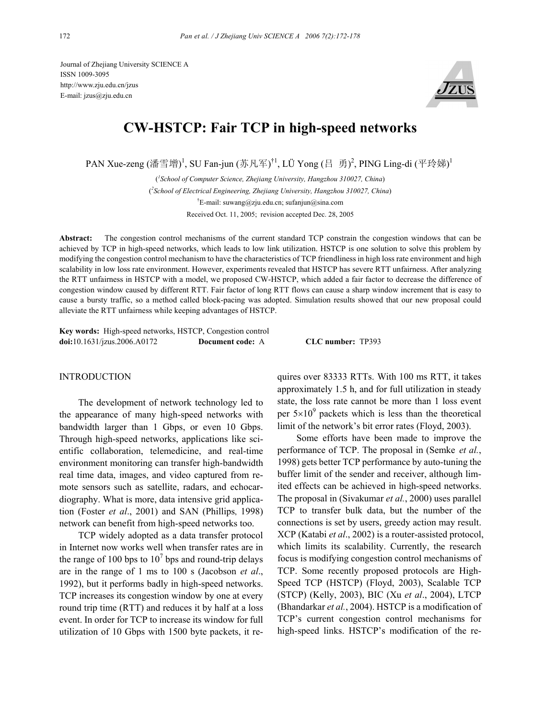Journal of Zhejiang University SCIENCE A ISSN 1009-3095 http://www.zju.edu.cn/jzus E-mail: jzus@zju.edu.cn



# **CW-HSTCP: Fair TCP in high-speed networks**

PAN Xue-zeng (潘雪增)<sup>1</sup>, SU Fan-jun (苏凡军)<sup>†1</sup>, LÜ Yong (吕 勇)<sup>2</sup>, PING Ling-di (平玲娣)<sup>1</sup>

( *1 School of Computer Science, Zhejiang University, Hangzhou 310027, China*) ( *2 School of Electrical Engineering, Zhejiang University, Hangzhou 310027, China*) † E-mail: suwang@zju.edu.cn; sufanjun@sina.com Received Oct. 11, 2005; revision accepted Dec. 28, 2005

**Abstract:** The congestion control mechanisms of the current standard TCP constrain the congestion windows that can be achieved by TCP in high-speed networks, which leads to low link utilization. HSTCP is one solution to solve this problem by modifying the congestion control mechanism to have the characteristics of TCP friendliness in high loss rate environment and high scalability in low loss rate environment. However, experiments revealed that HSTCP has severe RTT unfairness. After analyzing the RTT unfairness in HSTCP with a model, we proposed CW-HSTCP, which added a fair factor to decrease the difference of congestion window caused by different RTT. Fair factor of long RTT flows can cause a sharp window increment that is easy to cause a bursty traffic, so a method called block-pacing was adopted. Simulation results showed that our new proposal could alleviate the RTT unfairness while keeping advantages of HSTCP.

**Key words:** High-speed networks, HSTCP, Congestion control **doi:**10.1631/jzus.2006.A0172 **Document code:** A **CLC number:** TP393

## **INTRODUCTION**

The development of network technology led to the appearance of many high-speed networks with bandwidth larger than 1 Gbps, or even 10 Gbps. Through high-speed networks, applications like scientific collaboration, telemedicine, and real-time environment monitoring can transfer high-bandwidth real time data, images, and video captured from remote sensors such as satellite, radars, and echocardiography. What is more, data intensive grid application (Foster *et al*., 2001) and SAN (Phillips, 1998) network can benefit from high-speed networks too.

TCP widely adopted as a data transfer protocol in Internet now works well when transfer rates are in the range of 100 bps to  $10^7$  bps and round-trip delays are in the range of 1 ms to 100 s (Jacobson *et al*., 1992), but it performs badly in high-speed networks. TCP increases its congestion window by one at every round trip time (RTT) and reduces it by half at a loss event. In order for TCP to increase its window for full utilization of 10 Gbps with 1500 byte packets, it requires over 83333 RTTs. With 100 ms RTT, it takes approximately 1.5 h, and for full utilization in steady state, the loss rate cannot be more than 1 loss event per  $5 \times 10^9$  packets which is less than the theoretical limit of the network's bit error rates (Floyd, 2003).

Some efforts have been made to improve the performance of TCP. The proposal in (Semke *et al.*, 1998) gets better TCP performance by auto-tuning the buffer limit of the sender and receiver, although limited effects can be achieved in high-speed networks. The proposal in (Sivakumar *et al.*, 2000) uses parallel TCP to transfer bulk data, but the number of the connections is set by users, greedy action may result. XCP (Katabi *et al*., 2002) is a router-assisted protocol, which limits its scalability. Currently, the research focus is modifying congestion control mechanisms of TCP. Some recently proposed protocols are High-Speed TCP (HSTCP) (Floyd, 2003), Scalable TCP (STCP) (Kelly, 2003), BIC (Xu *et al*., 2004), LTCP (Bhandarkar *et al.*, 2004). HSTCP is a modification of TCP's current congestion control mechanisms for high-speed links. HSTCP's modification of the re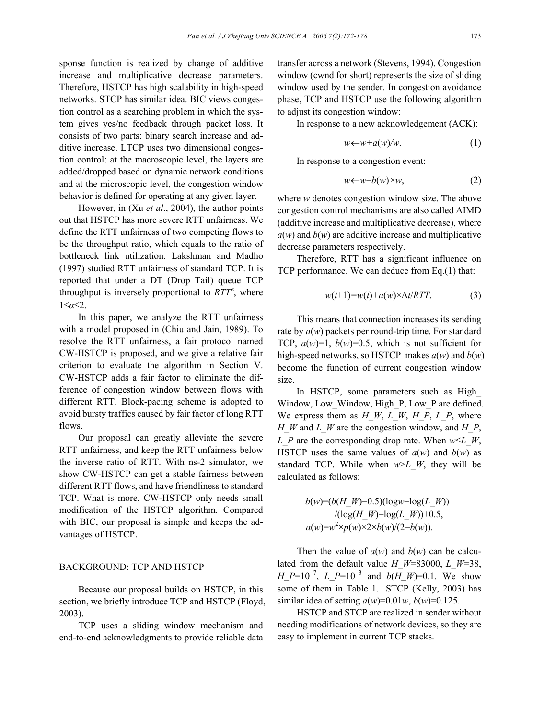sponse function is realized by change of additive increase and multiplicative decrease parameters. Therefore, HSTCP has high scalability in high-speed networks. STCP has similar idea. BIC views congestion control as a searching problem in which the system gives yes/no feedback through packet loss. It consists of two parts: binary search increase and additive increase. LTCP uses two dimensional congestion control: at the macroscopic level, the layers are added/dropped based on dynamic network conditions and at the microscopic level, the congestion window behavior is defined for operating at any given layer.

However, in (Xu *et al*., 2004), the author points out that HSTCP has more severe RTT unfairness. We define the RTT unfairness of two competing flows to be the throughput ratio, which equals to the ratio of bottleneck link utilization. Lakshman and Madho (1997) studied RTT unfairness of standard TCP. It is reported that under a DT (Drop Tail) queue TCP throughput is inversely proportional to  $RTT^{\alpha}$ , where 1≤*α*≤2.

In this paper, we analyze the RTT unfairness with a model proposed in (Chiu and Jain, 1989). To resolve the RTT unfairness, a fair protocol named CW-HSTCP is proposed, and we give a relative fair criterion to evaluate the algorithm in Section V. CW-HSTCP adds a fair factor to eliminate the difference of congestion window between flows with different RTT. Block-pacing scheme is adopted to avoid bursty traffics caused by fair factor of long RTT flows.

Our proposal can greatly alleviate the severe RTT unfairness, and keep the RTT unfairness below the inverse ratio of RTT. With ns-2 simulator, we show CW-HSTCP can get a stable fairness between different RTT flows, and have friendliness to standard TCP. What is more, CW-HSTCP only needs small modification of the HSTCP algorithm. Compared with BIC, our proposal is simple and keeps the advantages of HSTCP.

## BACKGROUND: TCP AND HSTCP

Because our proposal builds on HSTCP, in this section, we briefly introduce TCP and HSTCP (Floyd, 2003).

TCP uses a sliding window mechanism and end-to-end acknowledgments to provide reliable data

transfer across a network (Stevens, 1994). Congestion window (cwnd for short) represents the size of sliding window used by the sender. In congestion avoidance phase, TCP and HSTCP use the following algorithm to adjust its congestion window:

In response to a new acknowledgement (ACK):

$$
w \leftarrow w + a(w)/w. \tag{1}
$$

In response to a congestion event:

$$
w \leftarrow w - b(w) \times w,\tag{2}
$$

where *w* denotes congestion window size. The above congestion control mechanisms are also called AIMD (additive increase and multiplicative decrease), where  $a(w)$  and  $b(w)$  are additive increase and multiplicative decrease parameters respectively.

Therefore, RTT has a significant influence on TCP performance. We can deduce from Eq.(1) that:

$$
w(t+1)=w(t)+a(w)\times\Delta t/RTT.
$$
 (3)

This means that connection increases its sending rate by *a*(*w*) packets per round-trip time. For standard TCP,  $a(w)=1$ ,  $b(w)=0.5$ , which is not sufficient for high-speed networks, so HSTCP makes *a*(*w*) and *b*(*w*) become the function of current congestion window size.

In HSTCP, some parameters such as High\_ Window, Low Window, High P, Low P are defined. We express them as  $H$   $W$ ,  $L$   $W$ ,  $H$   $P$ ,  $L$   $P$ , where *H\_W* and *L\_W* are the congestion window, and *H\_P*, *L\_P* are the corresponding drop rate. When *w*≤*L\_W*, HSTCP uses the same values of  $a(w)$  and  $b(w)$  as standard TCP. While when  $w>L$  W, they will be calculated as follows:

$$
b(w)=(b(H_{_1}W)-0.5)(\log w - \log(L_{_2}W))
$$
  
\n
$$
/(\log(H_{_1}W)-\log(L_{_2}W)) + 0.5,
$$
  
\n
$$
a(w)=w^2 \times p(w) \times 2 \times b(w)/(2-b(w)).
$$

Then the value of  $a(w)$  and  $b(w)$  can be calculated from the default value *H\_W*=83000, *L\_W*=38, *H\_P*=10<sup>-7</sup>, *L\_P*=10<sup>-3</sup> and *b*(*H\_W*)=0.1. We show some of them in Table 1. STCP (Kelly, 2003) has similar idea of setting  $a(w)=0.01w, b(w)=0.125$ .

HSTCP and STCP are realized in sender without needing modifications of network devices, so they are easy to implement in current TCP stacks.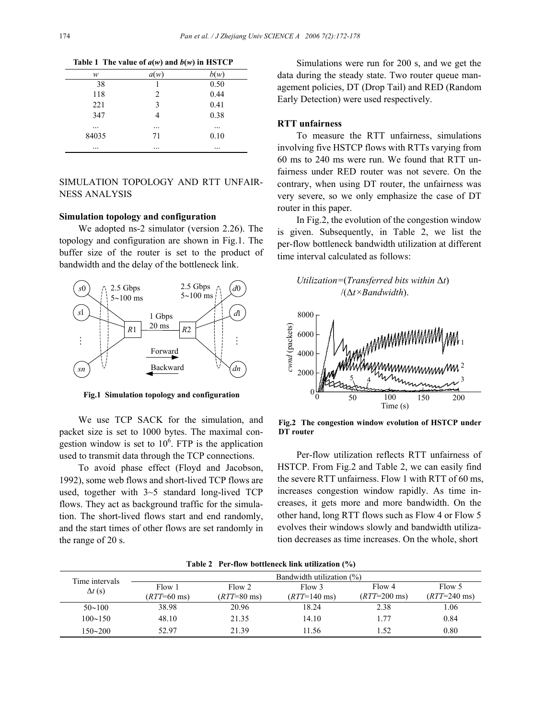| w     | a(w)     | b(w) |  |  |
|-------|----------|------|--|--|
| 38    |          | 0.50 |  |  |
| 118   | 2        | 0.44 |  |  |
| 221   | 3        | 0.41 |  |  |
| 347   |          | 0.38 |  |  |
|       |          |      |  |  |
| 84035 | 71       | 0.10 |  |  |
|       | $\cdots$ |      |  |  |

**Table 1 The value of** *a***(***w***) and** *b***(***w***) in HSTCP** 

## SIMULATION TOPOLOGY AND RTT UNFAIR-NESS ANALYSIS

## **Simulation topology and configuration**

We adopted ns-2 simulator (version 2.26). The topology and configuration are shown in Fig.1. The buffer size of the router is set to the product of bandwidth and the delay of the bottleneck link.



**Fig.1 Simulation topology and configuration**

We use TCP SACK for the simulation, and packet size is set to 1000 bytes. The maximal congestion window is set to  $10^6$ . FTP is the application used to transmit data through the TCP connections.

To avoid phase effect (Floyd and Jacobson, 1992), some web flows and short-lived TCP flows are used, together with 3~5 standard long-lived TCP flows. They act as background traffic for the simulation. The short-lived flows start and end randomly, and the start times of other flows are set randomly in the range of 20 s.

Simulations were run for 200 s, and we get the data during the steady state. Two router queue management policies, DT (Drop Tail) and RED (Random Early Detection) were used respectively.

## **RTT unfairness**

To measure the RTT unfairness, simulations involving five HSTCP flows with RTTs varying from 60 ms to 240 ms were run. We found that RTT unfairness under RED router was not severe. On the contrary, when using DT router, the unfairness was very severe, so we only emphasize the case of DT router in this paper.

In Fig.2, the evolution of the congestion window is given. Subsequently, in Table 2, we list the per-flow bottleneck bandwidth utilization at different time interval calculated as follows:





**Fig.2 The congestion window evolution of HSTCP under DT router**

Per-flow utilization reflects RTT unfairness of HSTCP. From Fig.2 and Table 2, we can easily find the severe RTT unfairness. Flow 1 with RTT of 60 ms, increases congestion window rapidly. As time increases, it gets more and more bandwidth. On the other hand, long RTT flows such as Flow 4 or Flow 5 evolves their windows slowly and bandwidth utilization decreases as time increases. On the whole, short

| Time intervals | Bandwidth utilization $(\%)$ |                                   |                                  |                            |                                    |
|----------------|------------------------------|-----------------------------------|----------------------------------|----------------------------|------------------------------------|
| $\Delta t$ (s) | Flow 1<br>$(RTT = 60$ ms)    | Flow 2<br>$(RTT = 80 \text{ ms})$ | Flow 3<br>$(RTT=140 \text{ ms})$ | Flow 4<br>$(RTT = 200$ ms) | Flow 5<br>$(RTT = 240 \text{ ms})$ |
| $50 - 100$     | 38.98                        | 20.96                             | 18.24                            | 2.38                       | 1.06                               |
| $100 - 150$    | 48.10                        | 21.35                             | 14.10                            | 1.77                       | 0.84                               |
| $150 - 200$    | 52.97                        | 21.39                             | 11.56                            | .52                        | 0.80                               |

**Table 2 Per-flow bottleneck link utilization (%)**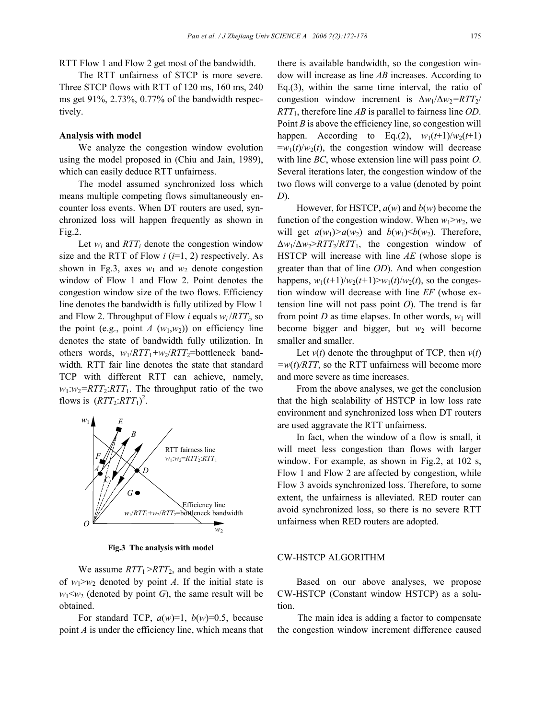RTT Flow 1 and Flow 2 get most of the bandwidth.

The RTT unfairness of STCP is more severe. Three STCP flows with RTT of 120 ms, 160 ms, 240 ms get 91%, 2.73%, 0.77% of the bandwidth respectively.

### **Analysis with model**

We analyze the congestion window evolution using the model proposed in (Chiu and Jain, 1989), which can easily deduce RTT unfairness.

The model assumed synchronized loss which means multiple competing flows simultaneously encounter loss events. When DT routers are used, synchronized loss will happen frequently as shown in Fig.2.

Let  $w_i$  and  $RTT_i$  denote the congestion window size and the RTT of Flow  $i$  ( $i=1, 2$ ) respectively. As shown in Fg.3, axes  $w_1$  and  $w_2$  denote congestion window of Flow 1 and Flow 2. Point denotes the congestion window size of the two flows. Efficiency line denotes the bandwidth is fully utilized by Flow 1 and Flow 2. Throughput of Flow *i* equals  $w_i/RTT_i$ , so the point (e.g., point *A*  $(w_1, w_2)$ ) on efficiency line denotes the state of bandwidth fully utilization. In others words,  $w_1/RTT_1 + w_2/RTT_2$ =bottleneck bandwidth*.* RTT fair line denotes the state that standard TCP with different RTT can achieve, namely,  $w_1$ : $w_2$ = $RTT_2$ : $RTT_1$ . The throughput ratio of the two flows is  $(RTT_2:RTT_1)^2$ .



**Fig.3 The analysis with model**

We assume  $RTT_1 > RTT_2$ , and begin with a state of  $w_1 > w_2$  denoted by point *A*. If the initial state is  $w_1 \leq w_2$  (denoted by point *G*), the same result will be obtained.

For standard TCP,  $a(w)=1$ ,  $b(w)=0.5$ , because point *A* is under the efficiency line, which means that

there is available bandwidth, so the congestion window will increase as line *AB* increases. According to Eq.(3), within the same time interval, the ratio of congestion window increment is ∆*w*1/∆*w*2*=RTT*2/ *RTT*1, therefore line *AB* is parallel to fairness line *OD*. Point *B* is above the efficiency line, so congestion will happen. According to Eq.(2),  $w_1(t+1)/w_2(t+1)$  $=w_1(t)/w_2(t)$ , the congestion window will decrease with line *BC*, whose extension line will pass point *O*. Several iterations later, the congestion window of the two flows will converge to a value (denoted by point *D*).

However, for HSTCP, *a*(*w*) and *b*(*w*) become the function of the congestion window. When  $w_1 > w_2$ , we will get  $a(w_1) > a(w_2)$  and  $b(w_1) \leq b(w_2)$ . Therefore, ∆*w*1/∆*w*2>*RTT*2/*RTT*1, the congestion window of HSTCP will increase with line *AE* (whose slope is greater than that of line *OD*). And when congestion happens,  $w_1(t+1)/w_2(t+1) > w_1(t)/w_2(t)$ , so the congestion window will decrease with line *EF* (whose extension line will not pass point *O*). The trend is far from point *D* as time elapses. In other words,  $w_1$  will become bigger and bigger, but  $w_2$  will become smaller and smaller.

Let  $v(t)$  denote the throughput of TCP, then  $v(t)$  $=w(t)/RTT$ , so the RTT unfairness will become more and more severe as time increases.

From the above analyses, we get the conclusion that the high scalability of HSTCP in low loss rate environment and synchronized loss when DT routers are used aggravate the RTT unfairness.

In fact, when the window of a flow is small, it will meet less congestion than flows with larger window. For example, as shown in Fig.2, at 102 s, Flow 1 and Flow 2 are affected by congestion, while Flow 3 avoids synchronized loss. Therefore, to some extent, the unfairness is alleviated. RED router can avoid synchronized loss, so there is no severe RTT unfairness when RED routers are adopted.

#### CW-HSTCP ALGORITHM

Based on our above analyses, we propose CW-HSTCP (Constant window HSTCP) as a solution.

The main idea is adding a factor to compensate the congestion window increment difference caused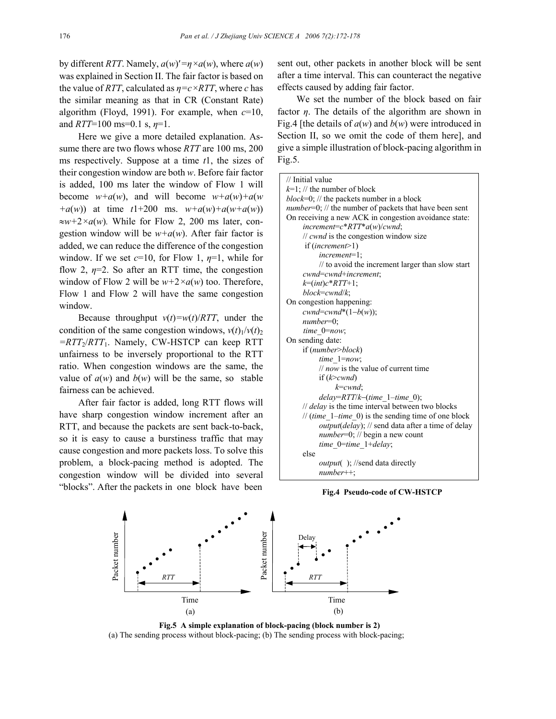by different *RTT*. Namely,  $a(w)' = \eta \times a(w)$ , where  $a(w)$ was explained in Section II. The fair factor is based on the value of *RTT*, calculated as  $\eta = c \times RTT$ , where *c* has the similar meaning as that in CR (Constant Rate) algorithm (Floyd, 1991). For example, when *c*=10, and *RTT*=100 ms=0.1 s, *η*=1.

Here we give a more detailed explanation. Assume there are two flows whose *RTT* are 100 ms, 200 ms respectively. Suppose at a time *t*1, the sizes of their congestion window are both *w*. Before fair factor is added, 100 ms later the window of Flow 1 will become  $w+a(w)$ , and will become  $w+a(w)+a(w)$ *+a*(*w*)) at time *t*1+200 ms.  $w+a(w)+a(w+a(w))$  $\approx w+2\times a(w)$ . While for Flow 2, 200 ms later, congestion window will be  $w+a(w)$ . After fair factor is added, we can reduce the difference of the congestion window. If we set  $c=10$ , for Flow 1,  $\eta=1$ , while for flow 2,  $\eta$ =2. So after an RTT time, the congestion window of Flow 2 will be  $w+2\times a(w)$  too. Therefore, Flow 1 and Flow 2 will have the same congestion window.

Because throughput  $v(t) = w(t)/RTT$ , under the condition of the same congestion windows,  $v(t)$ <sub>1</sub>/ $v(t)$ <sub>2</sub> *=RTT*2/*RTT*1. Namely, CW-HSTCP can keep RTT unfairness to be inversely proportional to the RTT ratio. When congestion windows are the same, the value of  $a(w)$  and  $b(w)$  will be the same, so stable fairness can be achieved.

After fair factor is added, long RTT flows will have sharp congestion window increment after an RTT, and because the packets are sent back-to-back, so it is easy to cause a burstiness traffic that may cause congestion and more packets loss. To solve this problem, a block-pacing method is adopted. The congestion window will be divided into several "blocks". After the packets in one block have been

sent out, other packets in another block will be sent after a time interval. This can counteract the negative effects caused by adding fair factor.

We set the number of the block based on fair factor *η*. The details of the algorithm are shown in Fig.4 [the details of *a*(*w*) and *b*(*w*) were introduced in Section II, so we omit the code of them here], and give a simple illustration of block-pacing algorithm in Fig.5.

| // Initial value                                                          |  |  |  |  |
|---------------------------------------------------------------------------|--|--|--|--|
| $k=1$ ; // the number of block                                            |  |  |  |  |
| $block=0$ ; // the packets number in a block                              |  |  |  |  |
| <i>number</i> =0; $\frac{1}{2}$ the number of packets that have been sent |  |  |  |  |
| On receiving a new ACK in congestion avoidance state:                     |  |  |  |  |
| $increment = c*RTT*a(w)/cwnd;$                                            |  |  |  |  |
| // cwnd is the congestion window size                                     |  |  |  |  |
| if $(increment>1)$                                                        |  |  |  |  |
| $increment=1$ ;                                                           |  |  |  |  |
| // to avoid the increment larger than slow start                          |  |  |  |  |
| $cwnd = cwnd + increment;$                                                |  |  |  |  |
| $k=(int)c*RTT+1;$                                                         |  |  |  |  |
| block=cwnd/k;                                                             |  |  |  |  |
| On congestion happening:                                                  |  |  |  |  |
| cwnd=cwnd*(1-b(w));                                                       |  |  |  |  |
| $number=0$ ;                                                              |  |  |  |  |
| $time$ 0= $now;$                                                          |  |  |  |  |
| On sending date:                                                          |  |  |  |  |
| if (number>block)                                                         |  |  |  |  |
| $time$ 1= $now;$                                                          |  |  |  |  |
| $\frac{1}{2}$ now is the value of current time                            |  |  |  |  |
| if $(k$ >cwnd)                                                            |  |  |  |  |
| k=cwnd:                                                                   |  |  |  |  |
| $delay = RTT/k-(time 1-time 0);$                                          |  |  |  |  |
| // delay is the time interval between two blocks                          |  |  |  |  |
| // (time $1$ -time 0) is the sending time of one block                    |  |  |  |  |
| <i>output(delay)</i> ; // send data after a time of delay                 |  |  |  |  |
| number=0; // begin a new count                                            |  |  |  |  |
| time $0 = time$ 1+delay;                                                  |  |  |  |  |
| else                                                                      |  |  |  |  |
| <i>output</i> (); //send data directly                                    |  |  |  |  |
| $number++$ :                                                              |  |  |  |  |

**Fig.4 Pseudo-code of CW-HSTCP**



**Fig.5 A simple explanation of block-pacing (block number is 2)**  (a) The sending process without block-pacing; (b) The sending process with block-pacing;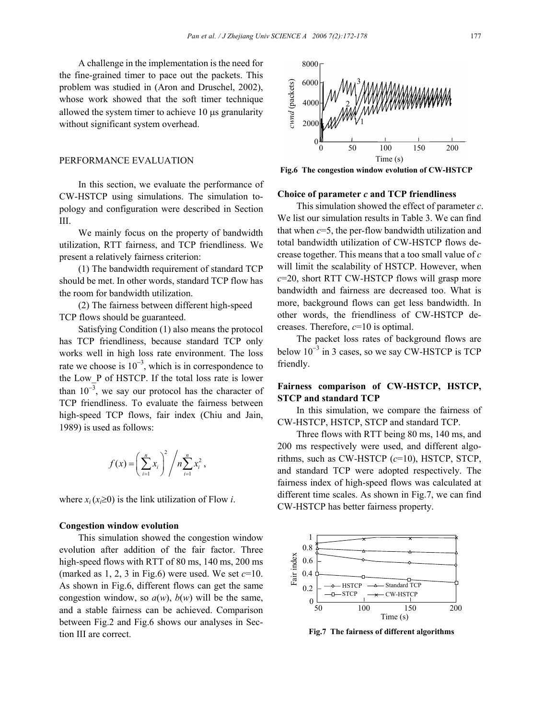A challenge in the implementation is the need for the fine-grained timer to pace out the packets. This problem was studied in (Aron and Druschel, 2002), whose work showed that the soft timer technique allowed the system timer to achieve 10 µs granularity without significant system overhead.

## PERFORMANCE EVALUATION

In this section, we evaluate the performance of CW-HSTCP using simulations. The simulation topology and configuration were described in Section III.

We mainly focus on the property of bandwidth utilization, RTT fairness, and TCP friendliness. We present a relatively fairness criterion:

(1) The bandwidth requirement of standard TCP should be met. In other words, standard TCP flow has the room for bandwidth utilization.

(2) The fairness between different high-speed TCP flows should be guaranteed.

Satisfying Condition (1) also means the protocol has TCP friendliness, because standard TCP only works well in high loss rate environment. The loss rate we choose is  $10^{-3}$ , which is in correspondence to the Low\_P of HSTCP. If the total loss rate is lower than  $10^{-3}$ , we say our protocol has the character of TCP friendliness. To evaluate the fairness between high-speed TCP flows, fair index (Chiu and Jain, 1989) is used as follows:

$$
f(x) = \left(\sum_{i=1}^{n} x_i\right)^2 / n \sum_{i=1}^{n} x_i^2,
$$

where  $x_i$  ( $x_i \ge 0$ ) is the link utilization of Flow *i*.

### **Congestion window evolution**

This simulation showed the congestion window evolution after addition of the fair factor. Three high-speed flows with RTT of 80 ms, 140 ms, 200 ms (marked as  $1, 2, 3$  in Fig.6) were used. We set  $c=10$ . As shown in Fig.6, different flows can get the same congestion window, so  $a(w)$ ,  $b(w)$  will be the same, and a stable fairness can be achieved. Comparison between Fig.2 and Fig.6 shows our analyses in Section III are correct.



**Fig.6 The congestion window evolution of CW-HSTCP** 

## **Choice of parameter** *c* **and TCP friendliness**

This simulation showed the effect of parameter *c*. We list our simulation results in Table 3. We can find that when  $c=5$ , the per-flow bandwidth utilization and total bandwidth utilization of CW-HSTCP flows decrease together. This means that a too small value of *c* will limit the scalability of HSTCP. However, when *c*=20, short RTT CW-HSTCP flows will grasp more bandwidth and fairness are decreased too. What is more, background flows can get less bandwidth. In other words, the friendliness of CW-HSTCP decreases. Therefore, *c*=10 is optimal.

The packet loss rates of background flows are below  $10^{-3}$  in 3 cases, so we say CW-HSTCP is TCP friendly.

# **Fairness comparison of CW-HSTCP, HSTCP, STCP and standard TCP**

In this simulation, we compare the fairness of CW-HSTCP, HSTCP, STCP and standard TCP.

Three flows with RTT being 80 ms, 140 ms, and 200 ms respectively were used, and different algorithms, such as CW-HSTCP (*c*=10), HSTCP, STCP, and standard TCP were adopted respectively. The fairness index of high-speed flows was calculated at different time scales. As shown in Fig.7, we can find CW-HSTCP has better fairness property.



**Fig.7 The fairness of different algorithms**